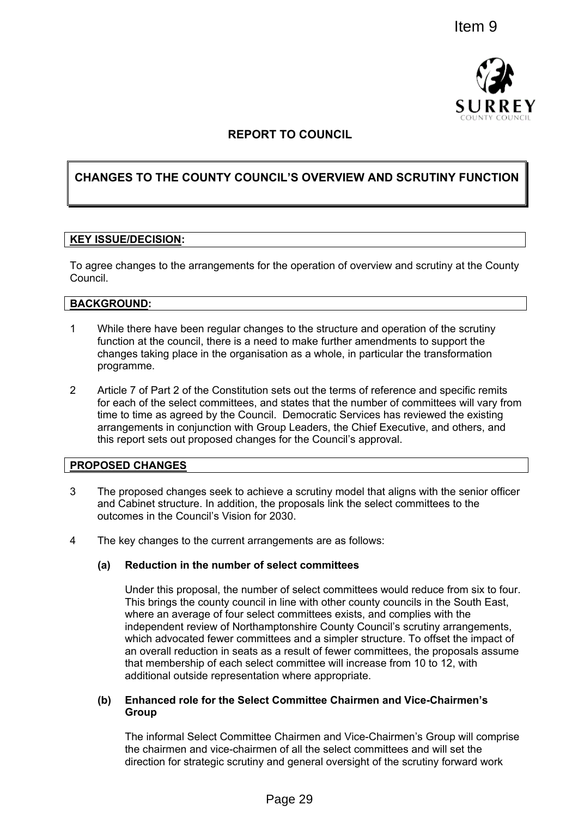

# **REPORT TO COUNCIL**

# **CHANGES TO THE COUNTY COUNCIL'S OVERVIEW AND SCRUTINY FUNCTION**

#### **KEY ISSUE/DECISION:**

To agree changes to the arrangements for the operation of overview and scrutiny at the County Council.

#### **BACKGROUND:**

- 1 While there have been regular changes to the structure and operation of the scrutiny function at the council, there is a need to make further amendments to support the changes taking place in the organisation as a whole, in particular the transformation programme.
- 2 Article 7 of Part 2 of the Constitution sets out the terms of reference and specific remits for each of the select committees, and states that the number of committees will vary from time to time as agreed by the Council. Democratic Services has reviewed the existing arrangements in conjunction with Group Leaders, the Chief Executive, and others, and this report sets out proposed changes for the Council's approval.

#### **PROPOSED CHANGES**

- 3 The proposed changes seek to achieve a scrutiny model that aligns with the senior officer and Cabinet structure. In addition, the proposals link the select committees to the outcomes in the Council's Vision for 2030.
- 4 The key changes to the current arrangements are as follows:

## **(a) Reduction in the number of select committees**

Under this proposal, the number of select committees would reduce from six to four. This brings the county council in line with other county councils in the South East, where an average of four select committees exists, and complies with the independent review of Northamptonshire County Council's scrutiny arrangements, which advocated fewer committees and a simpler structure. To offset the impact of an overall reduction in seats as a result of fewer committees, the proposals assume that membership of each select committee will increase from 10 to 12, with additional outside representation where appropriate. Item 9<br>
For the Southern and Vice-Chairmen's<br>
Cousine<br>
For the operation of overview and scrutiny r FUNCT<br>
For the operation of overview and scrutiny at the Cousin<br>
For the operation of overview and scrutiny at the Cousine

### **(b) Enhanced role for the Select Committee Chairmen and Vice-Chairmen's Group**

The informal Select Committee Chairmen and Vice-Chairmen's Group will comprise the chairmen and vice-chairmen of all the select committees and will set the direction for strategic scrutiny and general oversight of the scrutiny forward work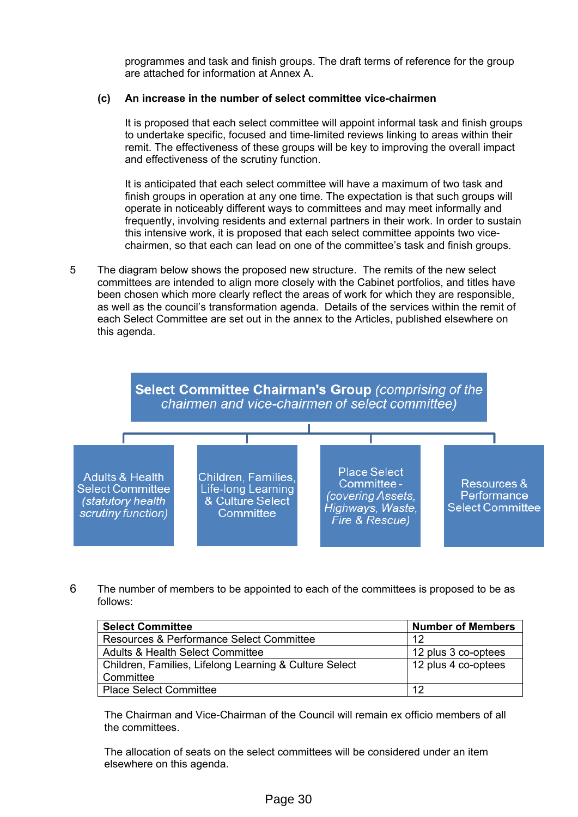programmes and task and finish groups. The draft terms of reference for the group are attached for information at Annex A.

# **(c) An increase in the number of select committee vice-chairmen**

It is proposed that each select committee will appoint informal task and finish groups to undertake specific, focused and time-limited reviews linking to areas within their remit. The effectiveness of these groups will be key to improving the overall impact and effectiveness of the scrutiny function.

It is anticipated that each select committee will have a maximum of two task and finish groups in operation at any one time. The expectation is that such groups will operate in noticeably different ways to committees and may meet informally and frequently, involving residents and external partners in their work. In order to sustain this intensive work, it is proposed that each select committee appoints two vicechairmen, so that each can lead on one of the committee's task and finish groups.

5 The diagram below shows the proposed new structure. The remits of the new select committees are intended to align more closely with the Cabinet portfolios, and titles have been chosen which more clearly reflect the areas of work for which they are responsible, as well as the council's transformation agenda. Details of the services within the remit of each Select Committee are set out in the annex to the Articles, published elsewhere on this agenda.



6 The number of members to be appointed to each of the committees is proposed to be as follows:

| <b>Select Committee</b>                                | <b>Number of Members</b> |
|--------------------------------------------------------|--------------------------|
| Resources & Performance Select Committee               | 12                       |
| <b>Adults &amp; Health Select Committee</b>            | 12 plus 3 co-optees      |
| Children, Families, Lifelong Learning & Culture Select | 12 plus 4 co-optees      |
| Committee                                              |                          |
| <b>Place Select Committee</b>                          | 12                       |

The Chairman and Vice-Chairman of the Council will remain ex officio members of all the committees.

The allocation of seats on the select committees will be considered under an item elsewhere on this agenda.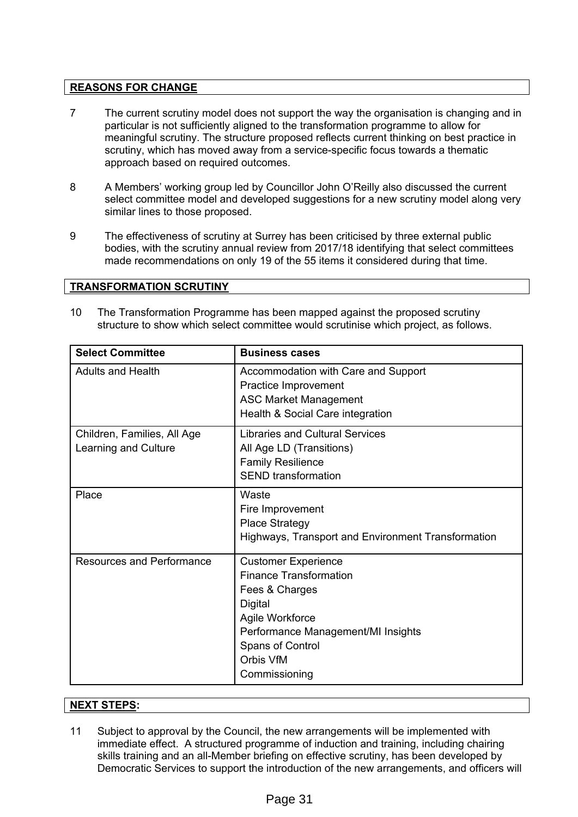# **REASONS FOR CHANGE**

- 7 The current scrutiny model does not support the way the organisation is changing and in particular is not sufficiently aligned to the transformation programme to allow for meaningful scrutiny. The structure proposed reflects current thinking on best practice in scrutiny, which has moved away from a service-specific focus towards a thematic approach based on required outcomes.
- 8 A Members' working group led by Councillor John O'Reilly also discussed the current select committee model and developed suggestions for a new scrutiny model along very similar lines to those proposed.
- 9 The effectiveness of scrutiny at Surrey has been criticised by three external public bodies, with the scrutiny annual review from 2017/18 identifying that select committees made recommendations on only 19 of the 55 items it considered during that time.

## **TRANSFORMATION SCRUTINY**

10 The Transformation Programme has been mapped against the proposed scrutiny structure to show which select committee would scrutinise which project, as follows.

| <b>Select Committee</b>                             | <b>Business cases</b>                                                                                                                                                                               |
|-----------------------------------------------------|-----------------------------------------------------------------------------------------------------------------------------------------------------------------------------------------------------|
| <b>Adults and Health</b>                            | Accommodation with Care and Support<br>Practice Improvement<br><b>ASC Market Management</b><br>Health & Social Care integration                                                                     |
| Children, Families, All Age<br>Learning and Culture | <b>Libraries and Cultural Services</b><br>All Age LD (Transitions)<br><b>Family Resilience</b><br><b>SEND</b> transformation                                                                        |
| Place                                               | Waste<br>Fire Improvement<br><b>Place Strategy</b><br>Highways, Transport and Environment Transformation                                                                                            |
| <b>Resources and Performance</b>                    | <b>Customer Experience</b><br><b>Finance Transformation</b><br>Fees & Charges<br>Digital<br>Agile Workforce<br>Performance Management/MI Insights<br>Spans of Control<br>Orbis VfM<br>Commissioning |

## **NEXT STEPS:**

11 Subject to approval by the Council, the new arrangements will be implemented with immediate effect. A structured programme of induction and training, including chairing skills training and an all-Member briefing on effective scrutiny, has been developed by Democratic Services to support the introduction of the new arrangements, and officers will